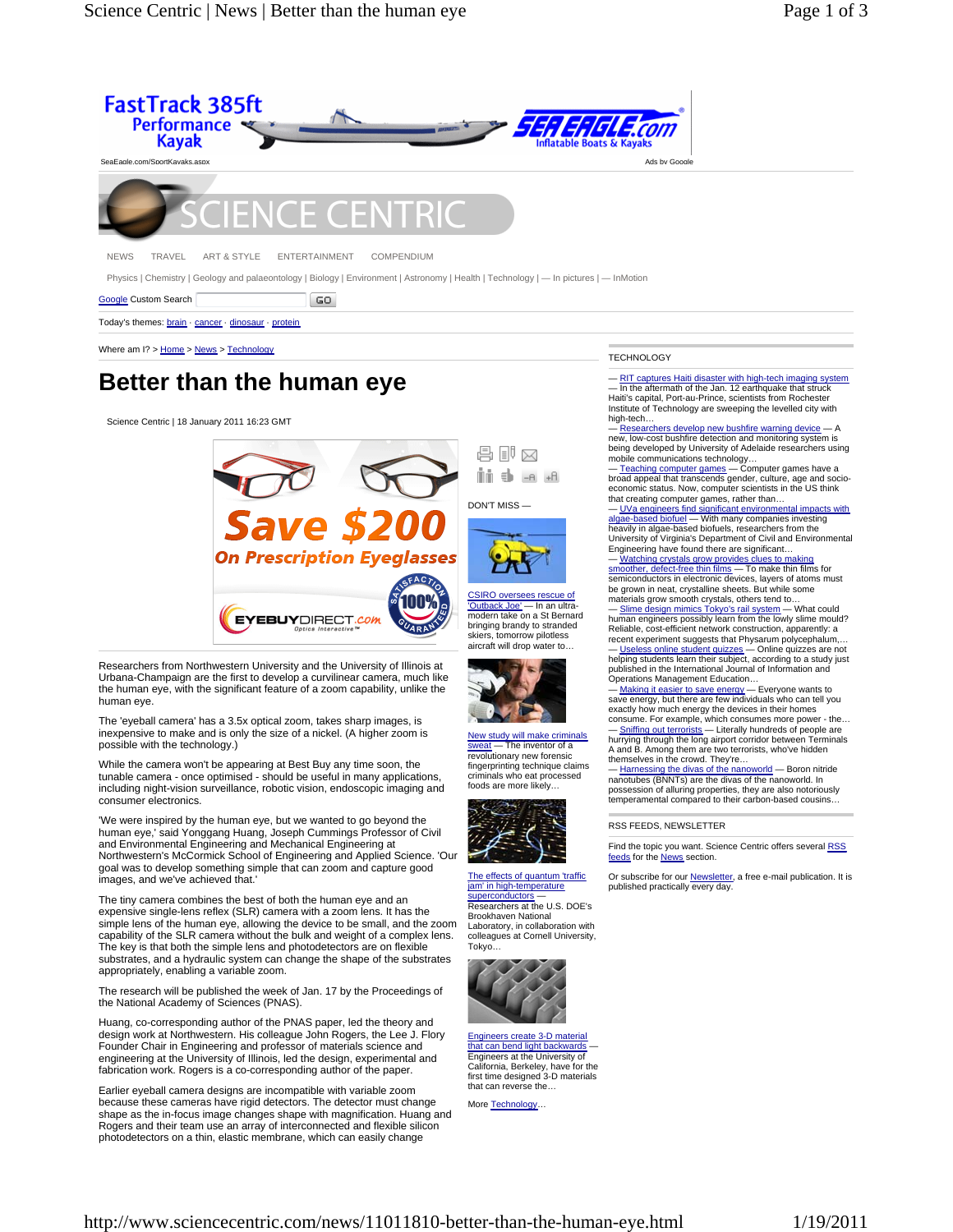

NEWS TRAVEL ART & STYLE ENTERTAINMENT COMPENDIUM

Physics | Chemistry | Geology and palaeontology | Biology | Environment | Astronomy | Health | Technology | — In pictures | — InMotion

Google Custom Search  $|$  GO

Today's themes: brain · cancer · dinosaur · protein

Where am I? > Home > News > Technology

## **Better than the human eye**

Science Centric | 18 January 2011 16:23 GMT



Researchers from Northwestern University and the University of Illinois at Urbana-Champaign are the first to develop a curvilinear camera, much like the human eye, with the significant feature of a zoom capability, unlike the human eye.

The 'eyeball camera' has a 3.5x optical zoom, takes sharp images, is inexpensive to make and is only the size of a nickel. (A higher zoom is possible with the technology.)

While the camera won't be appearing at Best Buy any time soon, the tunable camera - once optimised - should be useful in many applications, including night-vision surveillance, robotic vision, endoscopic imaging and consumer electronics.

'We were inspired by the human eye, but we wanted to go beyond the human eye,' said Yonggang Huang, Joseph Cummings Professor of Civil and Environmental Engineering and Mechanical Engineering at Northwestern's McCormick School of Engineering and Applied Science. 'Our goal was to develop something simple that can zoom and capture good images, and we've achieved that.'

The tiny camera combines the best of both the human eye and an expensive single-lens reflex (SLR) camera with a zoom lens. It has the simple lens of the human eye, allowing the device to be small, and the zoom capability of the SLR camera without the bulk and weight of a complex lens. The key is that both the simple lens and photodetectors are on flexible substrates, and a hydraulic system can change the shape of the substrates appropriately, enabling a variable zoom.

The research will be published the week of Jan. 17 by the Proceedings of the National Academy of Sciences (PNAS).

Huang, co-corresponding author of the PNAS paper, led the theory and design work at Northwestern. His colleague John Rogers, the Lee J. Flory Founder Chair in Engineering and professor of materials science and engineering at the University of Illinois, led the design, experimental and fabrication work. Rogers is a co-corresponding author of the paper.

Earlier eyeball camera designs are incompatible with variable zoom because these cameras have rigid detectors. The detector must change shape as the in-focus image changes shape with magnification. Huang and Rogers and their team use an array of interconnected and flexible silicon photodetectors on a thin, elastic membrane, which can easily change

## **TECHNOLOGY**

RIT captures Haiti disaster with high-tech imaging system — In the aftermath of the Jan. 12 earthquake that struck Haiti's capital, Port-au-Prince, scientists from Rochester Institute of Technology are sweeping the levelled city with high-tech…

Researchers develop new bushfire warning device new, low-cost bushfire detection and monitoring system is being developed by University of Adelaide researchers using mobile communications technology...<br>— <u>Teaching computer games</u> — Computer games have a

broad appeal that transcends gender, culture, age and socio-economic status. Now, computer scientists in the US think that creating computer games, rather than…

— UVa engineers find significant environmental impacts with algae-based biofuel — With many companies investing heavily in algae-based biofuels, researchers from the University of Virginia's Department of Civil and Environmental

Engineering have found there are significant…<br>— <u>Watching crystals grow provides clues to making</u><br>s<u>moother, defect-free thin films</u> — To make thin films for<br>semiconductors in electronic devices, layers of atoms must be grown in neat, crystalline sheets. But while some materials grow smooth crystals, others tend to…

— <u>Slime design mimics Tokyo's rail system</u> — What could<br>human engineers possibly learn from the lowly slime mould?<br>Reliable, cost-efficient network construction, apparently: a recent experiment suggests that Physarum polycephalum,… — Useless online student quizzes — Online quizzes are not

helping students learn their subject, according to a study just published in the International Journal of Information and Operations Management Education…

— <u>Making it easier to save energy</u> — Everyone wants to<br>save energy, but there are few individuals who can tell you exactly how much energy the devices in their homes consume. For example, which consumes more power - the… — <u>Sniffing out terrorists</u> — Literally hundreds of people are<br>hurrying through the long airport corridor between Terminals A and B. Among them are two terrorists, who've hidden themselves in the crowd. They're…

— Harnessing the divas of the nanoworld — Boron nitride nanotubes (BNNTs) are the divas of the nanoworld. In possession of alluring properties, they are also notoriously temperamental compared to their carbon-based cousins…

RSS FEEDS, NEWSLETTER

Find the topic you want. Science Centric offers several RSS feeds for the **News** section.

Or subscribe for our <u>Newsletter</u>, a free e-mail publication. It is<br>published practically every day.



Tokyo…

The effects of quantum 'traffic jam' in high-temperature superconductors — Researchers at the U.S. DOE's Brookhaven National Laboratory, in collaboration with colleagues at Cornell University,

New study will make criminals - The inventor of a revolutionary new forensic fingerprinting technique claims criminals who eat processed foods are more likely…

Engineers create 3-D material that can bend light backwards — Engineers at the University of California, Berkeley, have for the first time designed 3-D materials that can reverse the…

More Technology…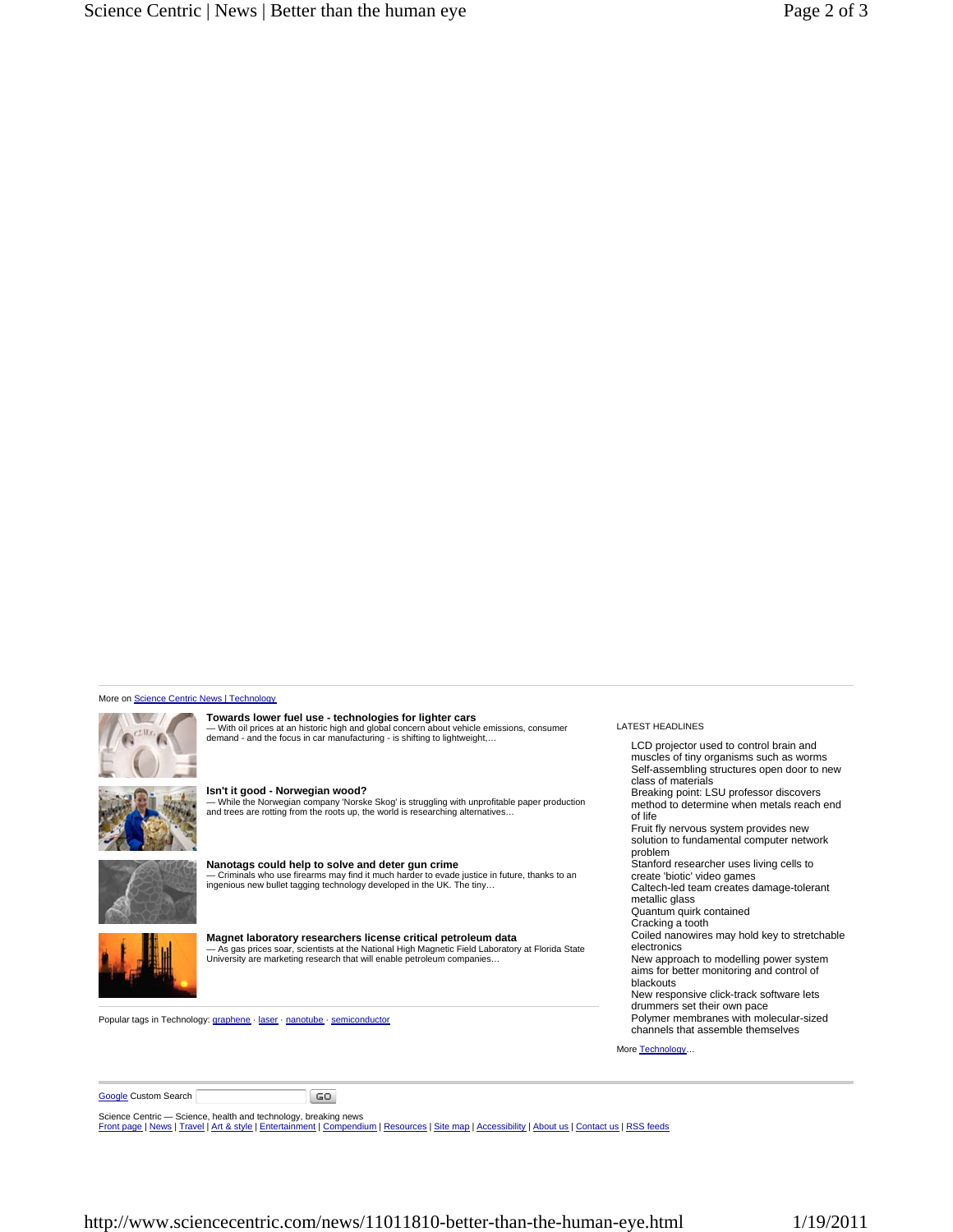## More on Science Centric News | Technology



**Towards lower fuel use - technologies for lighter cars** — With oil prices at an historic high and global concern about vehicle emissions, consumer demand - and the focus in car manufacturing - is shifting to lightweight,…



**Isn't it good - Norwegian wood?** — While the Norwegian company 'Norske Skog' is struggling with unprofitable paper production and trees are rotting from the roots up, the world is researching alternatives…



**Nanotags could help to solve and deter gun crime** — Criminals who use firearms may find it much harder to evade justice in future, thanks to an ingenious new bullet tagging technology developed in the UK. The tiny…



**Magnet laboratory researchers license critical petroleum data** — As gas prices soar, scientists at the National High Magnetic Field Laboratory at Florida State University are marketing research that will enable petroleum companies…

Popular tags in Technology: graphene · laser · nanotube · semiconductor

LATEST HEADLINES LCD projector used to control brain and muscles of tiny organisms such as worms Self-assembling structures open door to new class of materials Breaking point: LSU professor discovers method to determine when metals reach end of life Fruit fly nervous system provides new solution to fundamental computer network problem Stanford researcher uses living cells to create 'biotic' video games Caltech-led team creates damage-tolerant metallic glass Quantum quirk contained Cracking a tooth Coiled nanowires may hold key to stretchable electronics New approach to modelling power system aims for better monitoring and control of blackouts New responsive click-track software lets drummers set their own pace Polymer membranes with molecular-sized channels that assemble themselves More Technology.

**Google Custom Search** 

Science Centric — Science, health and technology, breaking news<br><u>Front page | News | Travel | Art & style | Entertainment | Compendium | Resources | Site map | Accessibility | About us | Contact us | RSS feeds</u>

 $\boxed{GO}$